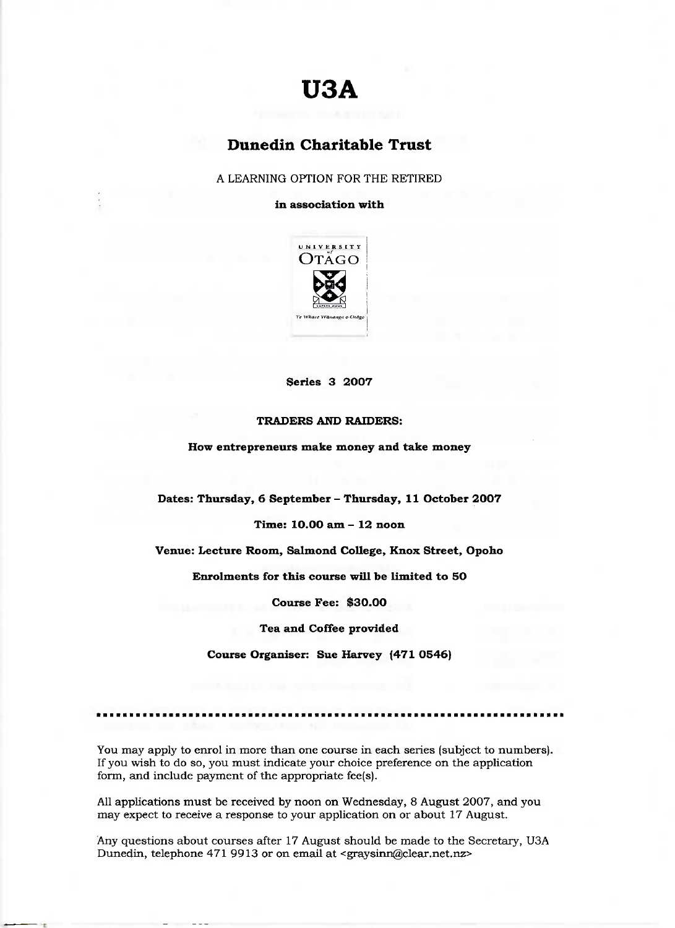# **USA**

## **Dunedin Charitable Trust**

A LEARNING OPTION FOR THE RETIRED

**in association with**



**Series 3 2007**

#### **TRADERS AND RAIDERS:**

**How entrepreneurs make money and take money**

**Dates: Thursday, 6 September - Thursday, 11 October 2007**

**Time: 10.0O am - 12 noon**

**Venue: Lecture Room, Salmond College, Knox Street, Opoho**

**Enrolments for this course will be limited to 50**

**Course Fee: \$30.00**

**Tea and Coffee provided**

**Course Organiser: Sue Harvey (471 0546)**

You may apply to enrol in more than one course in each series (subject to numbers). If you wish to do so, you must indicate your choice preference on the application form, and include payment of the appropriate fee(s).

AH applications must be received by noon on Wednesday, 8 August 2007, and you may expect to receive a response to your application on or about 17 August.

Any questions about courses after 17 August should be made to the Secretary, U3A Dunedin, telephone 471 9913 or on email at <graysinn@clear.net.nz>